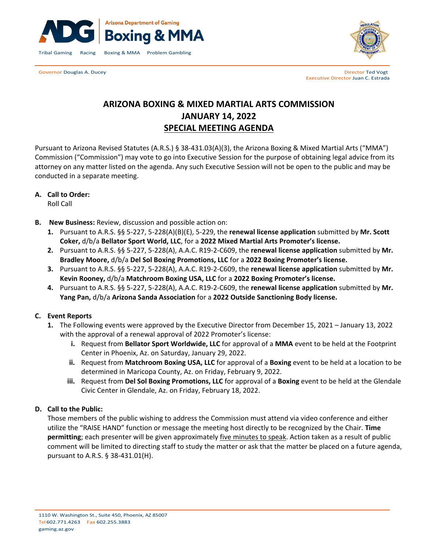

Governor Douglas A. Ducey **Director Ted Vogt Contract Contract Contract Contract Contract Contract Contract Contract Contract Contract Contract Contract Contract Contract Contract Contract Contract Contract Contract Cont** 



Executive Director Juan C. Estrada

# **ARIZONA BOXING & MIXED MARTIAL ARTS COMMISSION JANUARY 14, 2022 SPECIAL MEETING AGENDA**

Pursuant to Arizona Revised Statutes (A.R.S.) § 38-431.03(A)(3), the Arizona Boxing & Mixed Martial Arts ("MMA") Commission ("Commission") may vote to go into Executive Session for the purpose of obtaining legal advice from its attorney on any matter listed on the agenda. Any such Executive Session will not be open to the public and may be conducted in a separate meeting.

## **A. Call to Order:**

Roll Call

- **B. New Business:** Review, discussion and possible action on:
	- **1.** Pursuant to A.R.S. §§ 5-227, 5-228(A)(B)(E), 5-229, the **renewal license application** submitted by **Mr. Scott Coker,** d/b/a **Bellator Sport World, LLC**, for a **2022 Mixed Martial Arts Promoter's license.**
	- **2.** Pursuant to A.R.S. §§ 5-227, 5-228(A), A.A.C. R19-2-C609, the **renewal license application** submitted by **Mr. Bradley Moore,** d/b/a **Del Sol Boxing Promotions, LLC** for a **2022 Boxing Promoter's license.**
	- **3.** Pursuant to A.R.S. §§ 5-227, 5-228(A), A.A.C. R19-2-C609, the **renewal license application** submitted by **Mr. Kevin Rooney,** d/b/a **Matchroom Boxing USA, LLC** for a **2022 Boxing Promoter's license.**
	- **4.** Pursuant to A.R.S. §§ 5-227, 5-228(A), A.A.C. R19-2-C609, the **renewal license application** submitted by **Mr. Yang Pan,** d/b/a **Arizona Sanda Association** for a **2022 Outside Sanctioning Body license.**

## **C. Event Reports**

- **1.** The Following events were approved by the Executive Director from December 15, 2021 January 13, 2022 with the approval of a renewal approval of 2022 Promoter's license:
	- **i.** Request from **Bellator Sport Worldwide, LLC** for approval of a **MMA** event to be held at the Footprint Center in Phoenix, Az. on Saturday, January 29, 2022.
	- **ii.** Request from **Matchroom Boxing USA, LLC** for approval of a **Boxing** event to be held at a location to be determined in Maricopa County, Az. on Friday, February 9, 2022.
	- **iii.** Request from **Del Sol Boxing Promotions, LLC** for approval of a **Boxing** event to be held at the Glendale Civic Center in Glendale, Az. on Friday, February 18, 2022.

## **D. Call to the Public:**

Those members of the public wishing to address the Commission must attend via video conference and either utilize the "RAISE HAND" function or message the meeting host directly to be recognized by the Chair. **Time permitting**; each presenter will be given approximately five minutes to speak. Action taken as a result of public comment will be limited to directing staff to study the matter or ask that the matter be placed on a future agenda, pursuant to A.R.S. § 38-431.01(H).